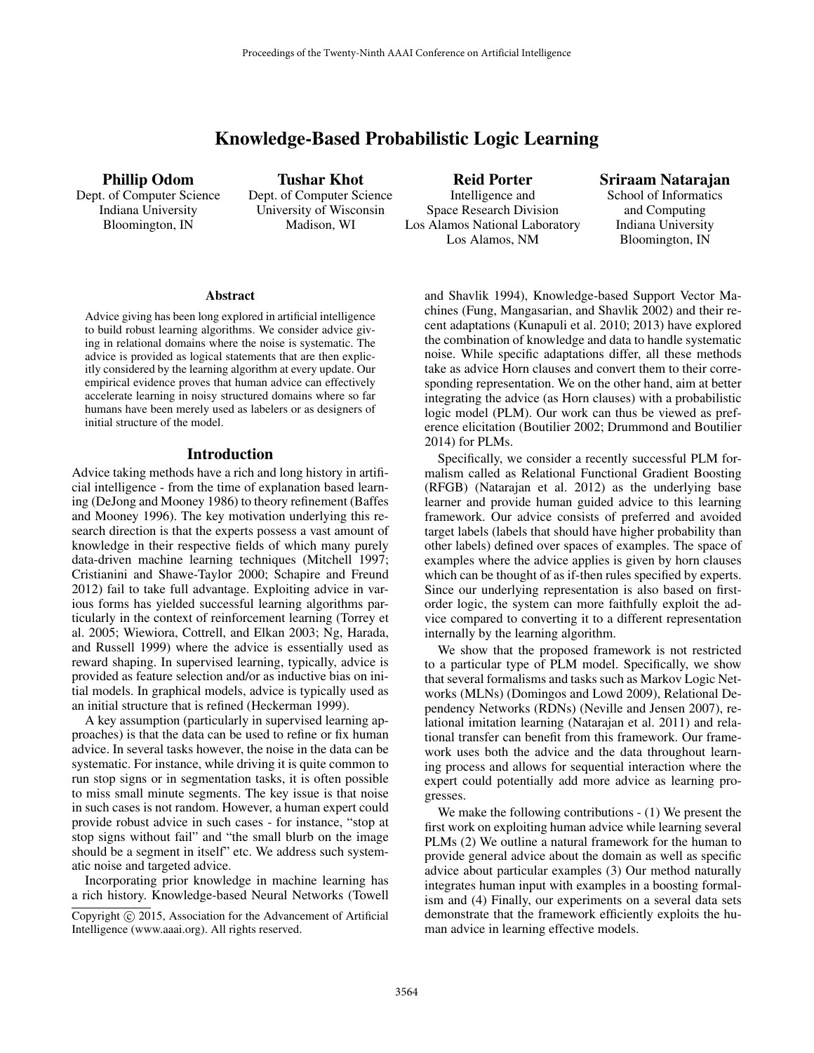# Knowledge-Based Probabilistic Logic Learning

Phillip Odom Dept. of Computer Science Indiana University Bloomington, IN

Tushar Khot Dept. of Computer Science University of Wisconsin Madison, WI

Reid Porter Intelligence and Space Research Division Los Alamos National Laboratory Los Alamos, NM

Sriraam Natarajan School of Informatics and Computing Indiana University Bloomington, IN

#### Abstract

Advice giving has been long explored in artificial intelligence to build robust learning algorithms. We consider advice giving in relational domains where the noise is systematic. The advice is provided as logical statements that are then explicitly considered by the learning algorithm at every update. Our empirical evidence proves that human advice can effectively accelerate learning in noisy structured domains where so far humans have been merely used as labelers or as designers of initial structure of the model.

#### Introduction

Advice taking methods have a rich and long history in artificial intelligence - from the time of explanation based learning (DeJong and Mooney 1986) to theory refinement (Baffes and Mooney 1996). The key motivation underlying this research direction is that the experts possess a vast amount of knowledge in their respective fields of which many purely data-driven machine learning techniques (Mitchell 1997; Cristianini and Shawe-Taylor 2000; Schapire and Freund 2012) fail to take full advantage. Exploiting advice in various forms has yielded successful learning algorithms particularly in the context of reinforcement learning (Torrey et al. 2005; Wiewiora, Cottrell, and Elkan 2003; Ng, Harada, and Russell 1999) where the advice is essentially used as reward shaping. In supervised learning, typically, advice is provided as feature selection and/or as inductive bias on initial models. In graphical models, advice is typically used as an initial structure that is refined (Heckerman 1999).

A key assumption (particularly in supervised learning approaches) is that the data can be used to refine or fix human advice. In several tasks however, the noise in the data can be systematic. For instance, while driving it is quite common to run stop signs or in segmentation tasks, it is often possible to miss small minute segments. The key issue is that noise in such cases is not random. However, a human expert could provide robust advice in such cases - for instance, "stop at stop signs without fail" and "the small blurb on the image should be a segment in itself" etc. We address such systematic noise and targeted advice.

Incorporating prior knowledge in machine learning has a rich history. Knowledge-based Neural Networks (Towell and Shavlik 1994), Knowledge-based Support Vector Machines (Fung, Mangasarian, and Shavlik 2002) and their recent adaptations (Kunapuli et al. 2010; 2013) have explored the combination of knowledge and data to handle systematic noise. While specific adaptations differ, all these methods take as advice Horn clauses and convert them to their corresponding representation. We on the other hand, aim at better integrating the advice (as Horn clauses) with a probabilistic logic model (PLM). Our work can thus be viewed as preference elicitation (Boutilier 2002; Drummond and Boutilier 2014) for PLMs.

Specifically, we consider a recently successful PLM formalism called as Relational Functional Gradient Boosting (RFGB) (Natarajan et al. 2012) as the underlying base learner and provide human guided advice to this learning framework. Our advice consists of preferred and avoided target labels (labels that should have higher probability than other labels) defined over spaces of examples. The space of examples where the advice applies is given by horn clauses which can be thought of as if-then rules specified by experts. Since our underlying representation is also based on firstorder logic, the system can more faithfully exploit the advice compared to converting it to a different representation internally by the learning algorithm.

We show that the proposed framework is not restricted to a particular type of PLM model. Specifically, we show that several formalisms and tasks such as Markov Logic Networks (MLNs) (Domingos and Lowd 2009), Relational Dependency Networks (RDNs) (Neville and Jensen 2007), relational imitation learning (Natarajan et al. 2011) and relational transfer can benefit from this framework. Our framework uses both the advice and the data throughout learning process and allows for sequential interaction where the expert could potentially add more advice as learning progresses.

We make the following contributions - (1) We present the first work on exploiting human advice while learning several PLMs (2) We outline a natural framework for the human to provide general advice about the domain as well as specific advice about particular examples (3) Our method naturally integrates human input with examples in a boosting formalism and (4) Finally, our experiments on a several data sets demonstrate that the framework efficiently exploits the human advice in learning effective models.

Copyright © 2015, Association for the Advancement of Artificial Intelligence (www.aaai.org). All rights reserved.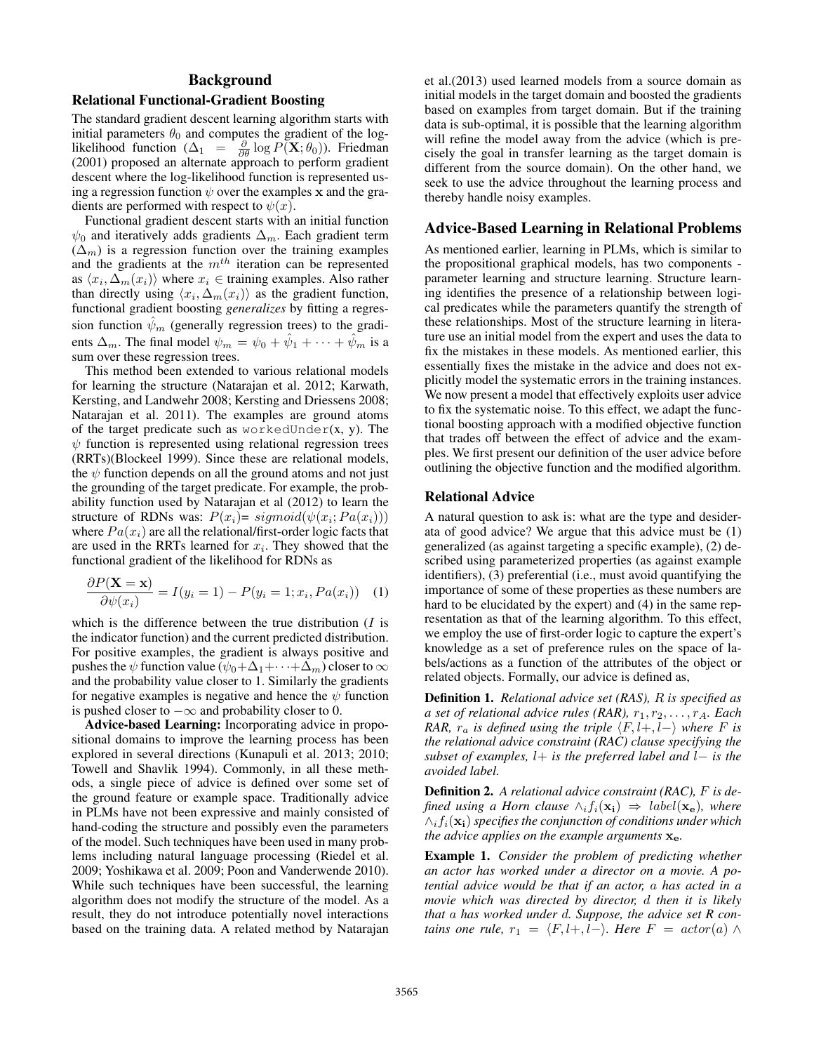## Background

## Relational Functional-Gradient Boosting

The standard gradient descent learning algorithm starts with initial parameters  $\theta_0$  and computes the gradient of the loglikelihood function ( $\Delta_1 = \frac{\partial}{\partial \theta} \log P(\mathbf{X}; \theta_0)$ ). Friedman (2001) proposed an alternate approach to perform gradient descent where the log-likelihood function is represented using a regression function  $\psi$  over the examples x and the gradients are performed with respect to  $\psi(x)$ .

Functional gradient descent starts with an initial function  $\psi_0$  and iteratively adds gradients  $\Delta_m$ . Each gradient term  $(\Delta_m)$  is a regression function over the training examples and the gradients at the  $m<sup>th</sup>$  iteration can be represented as  $\langle x_i, \Delta_m(x_i) \rangle$  where  $x_i \in$  training examples. Also rather than directly using  $\langle x_i, \Delta_m(x_i) \rangle$  as the gradient function, functional gradient boosting *generalizes* by fitting a regression function  $\hat{\psi}_m$  (generally regression trees) to the gradients  $\Delta_m$ . The final model  $\psi_m = \psi_0 + \hat{\psi}_1 + \cdots + \hat{\psi}_m$  is a sum over these regression trees.

This method been extended to various relational models for learning the structure (Natarajan et al. 2012; Karwath, Kersting, and Landwehr 2008; Kersting and Driessens 2008; Natarajan et al. 2011). The examples are ground atoms of the target predicate such as workedUnder $(x, y)$ . The  $\psi$  function is represented using relational regression trees (RRTs)(Blockeel 1999). Since these are relational models, the  $\psi$  function depends on all the ground atoms and not just the grounding of the target predicate. For example, the probability function used by Natarajan et al (2012) to learn the structure of RDNs was:  $P(x_i) = sigmoid(\psi(x_i; Pa(x_i)))$ where  $Pa(x_i)$  are all the relational/first-order logic facts that are used in the RRTs learned for  $x_i$ . They showed that the functional gradient of the likelihood for RDNs as

$$
\frac{\partial P(\mathbf{X} = \mathbf{x})}{\partial \psi(x_i)} = I(y_i = 1) - P(y_i = 1; x_i, Pa(x_i)) \quad (1)
$$

which is the difference between the true distribution  $(I$  is the indicator function) and the current predicted distribution. For positive examples, the gradient is always positive and pushes the  $\psi$  function value  $(\psi_0 + \Delta_1 + \cdots + \Delta_m)$  closer to  $\infty$ and the probability value closer to 1. Similarly the gradients for negative examples is negative and hence the  $\psi$  function is pushed closer to  $-\infty$  and probability closer to 0.

Advice-based Learning: Incorporating advice in propositional domains to improve the learning process has been explored in several directions (Kunapuli et al. 2013; 2010; Towell and Shavlik 1994). Commonly, in all these methods, a single piece of advice is defined over some set of the ground feature or example space. Traditionally advice in PLMs have not been expressive and mainly consisted of hand-coding the structure and possibly even the parameters of the model. Such techniques have been used in many problems including natural language processing (Riedel et al. 2009; Yoshikawa et al. 2009; Poon and Vanderwende 2010). While such techniques have been successful, the learning algorithm does not modify the structure of the model. As a result, they do not introduce potentially novel interactions based on the training data. A related method by Natarajan

et al.(2013) used learned models from a source domain as initial models in the target domain and boosted the gradients based on examples from target domain. But if the training data is sub-optimal, it is possible that the learning algorithm will refine the model away from the advice (which is precisely the goal in transfer learning as the target domain is different from the source domain). On the other hand, we seek to use the advice throughout the learning process and thereby handle noisy examples.

## Advice-Based Learning in Relational Problems

As mentioned earlier, learning in PLMs, which is similar to the propositional graphical models, has two components parameter learning and structure learning. Structure learning identifies the presence of a relationship between logical predicates while the parameters quantify the strength of these relationships. Most of the structure learning in literature use an initial model from the expert and uses the data to fix the mistakes in these models. As mentioned earlier, this essentially fixes the mistake in the advice and does not explicitly model the systematic errors in the training instances. We now present a model that effectively exploits user advice to fix the systematic noise. To this effect, we adapt the functional boosting approach with a modified objective function that trades off between the effect of advice and the examples. We first present our definition of the user advice before outlining the objective function and the modified algorithm.

#### Relational Advice

A natural question to ask is: what are the type and desiderata of good advice? We argue that this advice must be (1) generalized (as against targeting a specific example), (2) described using parameterized properties (as against example identifiers), (3) preferential (i.e., must avoid quantifying the importance of some of these properties as these numbers are hard to be elucidated by the expert) and (4) in the same representation as that of the learning algorithm. To this effect, we employ the use of first-order logic to capture the expert's knowledge as a set of preference rules on the space of labels/actions as a function of the attributes of the object or related objects. Formally, our advice is defined as,

Definition 1. *Relational advice set (RAS),* R *is specified as a set of relational advice rules (RAR),*  $r_1, r_2, \ldots, r_A$ *. Each RAR,*  $r_a$  *is defined using the triple*  $\langle F, l+, l-\rangle$  *where* F *is the relational advice constraint (RAC) clause specifying the subset of examples,* l+ *is the preferred label and* l− *is the avoided label.*

Definition 2. *A relational advice constraint (RAC),* F *is defined using a Horn clause*  $\wedge_i f_i(\mathbf{x_i}) \Rightarrow label(\mathbf{x_e})$ , where ∧ifi(xi) *specifies the conjunction of conditions under which the advice applies on the example arguments*  $\mathbf{x}_{e}$ *.* 

Example 1. *Consider the problem of predicting whether an actor has worked under a director on a movie. A potential advice would be that if an actor,* a *has acted in a movie which was directed by director,* d *then it is likely that* a *has worked under* d*. Suppose, the advice set R contains one rule,*  $r_1 = \langle F, l+, l-\rangle$ *. Here*  $F = actor(a) \wedge f$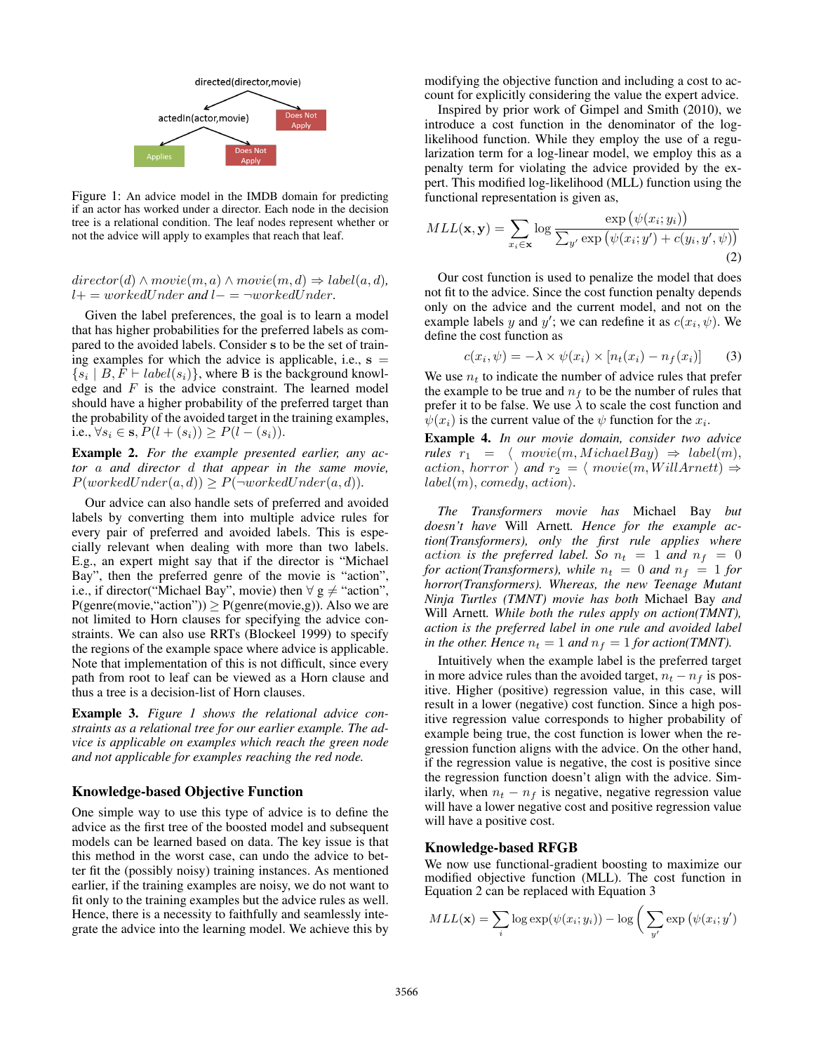

Figure 1: An advice model in the IMDB domain for predicting if an actor has worked under a director. Each node in the decision tree is a relational condition. The leaf nodes represent whether or not the advice will apply to examples that reach that leaf.

 $director(d) \wedge movie(m, a) \wedge movie(m, d) \Rightarrow label(a, d),$ l+ = workedUnder *and* l− = ¬workedUnder*.*

Given the label preferences, the goal is to learn a model that has higher probabilities for the preferred labels as compared to the avoided labels. Consider s to be the set of training examples for which the advice is applicable, i.e.,  $s =$  $\{s_i \mid B, F \vdash label(s_i)\}\$ , where B is the background knowledge and  $F$  is the advice constraint. The learned model should have a higher probability of the preferred target than the probability of the avoided target in the training examples, i.e.,  $\forall s_i \in \mathbf{s}, P(l + (s_i)) \geq P(l - (s_i)).$ 

Example 2. *For the example presented earlier, any actor* a *and director* d *that appear in the same movie,*  $P(wordUnder(a, d)) \geq P(\neg workedUnder(a, d)).$ 

Our advice can also handle sets of preferred and avoided labels by converting them into multiple advice rules for every pair of preferred and avoided labels. This is especially relevant when dealing with more than two labels. E.g., an expert might say that if the director is "Michael Bay", then the preferred genre of the movie is "action", i.e., if director("Michael Bay", movie) then  $\forall g \neq$  "action",  $P(\text{generic}, \text{``action''}) \geq P(\text{generic}, g)$ ). Also we are not limited to Horn clauses for specifying the advice constraints. We can also use RRTs (Blockeel 1999) to specify the regions of the example space where advice is applicable. Note that implementation of this is not difficult, since every path from root to leaf can be viewed as a Horn clause and thus a tree is a decision-list of Horn clauses.

Example 3. *Figure 1 shows the relational advice constraints as a relational tree for our earlier example. The advice is applicable on examples which reach the green node and not applicable for examples reaching the red node.*

#### Knowledge-based Objective Function

One simple way to use this type of advice is to define the advice as the first tree of the boosted model and subsequent models can be learned based on data. The key issue is that this method in the worst case, can undo the advice to better fit the (possibly noisy) training instances. As mentioned earlier, if the training examples are noisy, we do not want to fit only to the training examples but the advice rules as well. Hence, there is a necessity to faithfully and seamlessly integrate the advice into the learning model. We achieve this by

modifying the objective function and including a cost to account for explicitly considering the value the expert advice.

Inspired by prior work of Gimpel and Smith (2010), we introduce a cost function in the denominator of the loglikelihood function. While they employ the use of a regularization term for a log-linear model, we employ this as a penalty term for violating the advice provided by the expert. This modified log-likelihood (MLL) function using the functional representation is given as,

$$
MLL(\mathbf{x}, \mathbf{y}) = \sum_{x_i \in \mathbf{x}} \log \frac{\exp (\psi(x_i; y_i))}{\sum_{y'} \exp (\psi(x_i; y') + c(y_i, y', \psi))}
$$
(2)

Our cost function is used to penalize the model that does not fit to the advice. Since the cost function penalty depends only on the advice and the current model, and not on the example labels y and y'; we can redefine it as  $c(x_i, \psi)$ . We define the cost function as

$$
c(x_i, \psi) = -\lambda \times \psi(x_i) \times [n_t(x_i) - n_f(x_i)] \tag{3}
$$

We use  $n_t$  to indicate the number of advice rules that prefer the example to be true and  $n_f$  to be the number of rules that prefer it to be false. We use  $\lambda$  to scale the cost function and  $\psi(x_i)$  is the current value of the  $\psi$  function for the  $x_i$ .

Example 4. *In our movie domain, consider two advice rules*  $r_1 = \langle move(m, MichaelBay) \Rightarrow label(m),$ action, horror  $\rangle$  and  $r_2 = \langle$  movie $(m, WillArnett) \Rightarrow$  $label(m), comedy, action.$ 

*The Transformers movie has* Michael Bay *but doesn't have* Will Arnett*. Hence for the example action(Transformers), only the first rule applies where* action is the preferred label. So  $n_t = 1$  and  $n_f = 0$ *for action(Transformers), while*  $n_t = 0$  *and*  $n_f = 1$  *for horror(Transformers). Whereas, the new Teenage Mutant Ninja Turtles (TMNT) movie has both* Michael Bay *and* Will Arnett*. While both the rules apply on action(TMNT), action is the preferred label in one rule and avoided label in the other. Hence*  $n_t = 1$  *and*  $n_f = 1$  *for action(TMNT).* 

Intuitively when the example label is the preferred target in more advice rules than the avoided target,  $n_t - n_f$  is positive. Higher (positive) regression value, in this case, will result in a lower (negative) cost function. Since a high positive regression value corresponds to higher probability of example being true, the cost function is lower when the regression function aligns with the advice. On the other hand, if the regression value is negative, the cost is positive since the regression function doesn't align with the advice. Similarly, when  $n_t - n_f$  is negative, negative regression value will have a lower negative cost and positive regression value will have a positive cost.

#### Knowledge-based RFGB

We now use functional-gradient boosting to maximize our modified objective function (MLL). The cost function in Equation 2 can be replaced with Equation 3

$$
MLL(\mathbf{x}) = \sum_{i} \log \exp(\psi(x_i; y_i)) - \log \left( \sum_{y'} \exp(\psi(x_i; y')) \right)
$$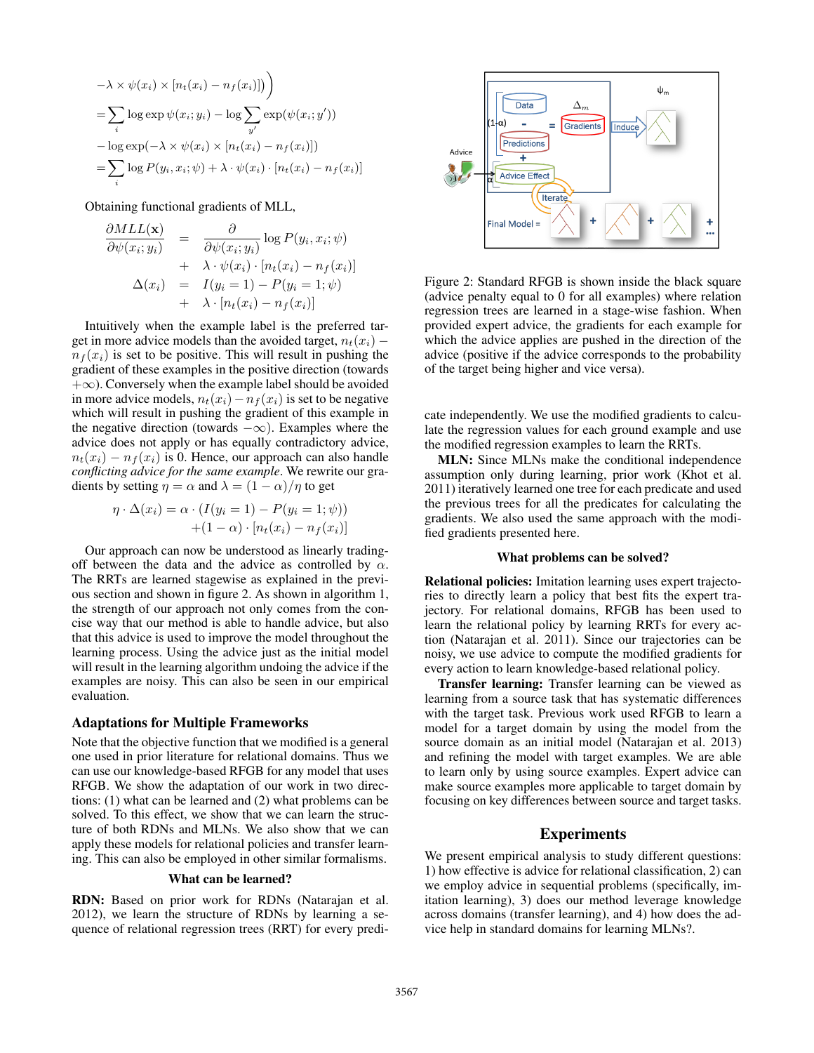$$
-\lambda \times \psi(x_i) \times [n_t(x_i) - n_f(x_i)])
$$
  
= 
$$
\sum_i \log \exp \psi(x_i; y_i) - \log \sum_{y'} \exp(\psi(x_i; y'))
$$
  
- 
$$
\log \exp(-\lambda \times \psi(x_i) \times [n_t(x_i) - n_f(x_i)])
$$
  
= 
$$
\sum_i \log P(y_i, x_i; \psi) + \lambda \cdot \psi(x_i) \cdot [n_t(x_i) - n_f(x_i)]
$$

Obtaining functional gradients of MLL,

$$
\frac{\partial MLL(\mathbf{x})}{\partial \psi(x_i; y_i)} = \frac{\partial}{\partial \psi(x_i; y_i)} \log P(y_i, x_i; \psi) \n+ \lambda \cdot \psi(x_i) \cdot [n_t(x_i) - n_f(x_i)] \n\Delta(x_i) = I(y_i = 1) - P(y_i = 1; \psi) \n+ \lambda \cdot [n_t(x_i) - n_f(x_i)]
$$

Intuitively when the example label is the preferred target in more advice models than the avoided target,  $n_t(x_i)$  –  $n_f(x_i)$  is set to be positive. This will result in pushing the gradient of these examples in the positive direction (towards +∞). Conversely when the example label should be avoided in more advice models,  $n_t(x_i) - n_f(x_i)$  is set to be negative which will result in pushing the gradient of this example in the negative direction (towards  $-\infty$ ). Examples where the advice does not apply or has equally contradictory advice,  $n_t(x_i) - n_f(x_i)$  is 0. Hence, our approach can also handle *conflicting advice for the same example*. We rewrite our gradients by setting  $\eta = \alpha$  and  $\lambda = (1 - \alpha)/\eta$  to get

$$
\eta \cdot \Delta(x_i) = \alpha \cdot (I(y_i = 1) - P(y_i = 1; \psi))
$$

$$
+ (1 - \alpha) \cdot [n_t(x_i) - n_f(x_i)]
$$

Our approach can now be understood as linearly tradingoff between the data and the advice as controlled by  $\alpha$ . The RRTs are learned stagewise as explained in the previous section and shown in figure 2. As shown in algorithm 1, the strength of our approach not only comes from the concise way that our method is able to handle advice, but also that this advice is used to improve the model throughout the learning process. Using the advice just as the initial model will result in the learning algorithm undoing the advice if the examples are noisy. This can also be seen in our empirical evaluation.

## Adaptations for Multiple Frameworks

Note that the objective function that we modified is a general one used in prior literature for relational domains. Thus we can use our knowledge-based RFGB for any model that uses RFGB. We show the adaptation of our work in two directions: (1) what can be learned and (2) what problems can be solved. To this effect, we show that we can learn the structure of both RDNs and MLNs. We also show that we can apply these models for relational policies and transfer learning. This can also be employed in other similar formalisms.

#### What can be learned?

RDN: Based on prior work for RDNs (Natarajan et al. 2012), we learn the structure of RDNs by learning a sequence of relational regression trees (RRT) for every predi-



Figure 2: Standard RFGB is shown inside the black square (advice penalty equal to 0 for all examples) where relation regression trees are learned in a stage-wise fashion. When provided expert advice, the gradients for each example for which the advice applies are pushed in the direction of the advice (positive if the advice corresponds to the probability of the target being higher and vice versa).

cate independently. We use the modified gradients to calculate the regression values for each ground example and use the modified regression examples to learn the RRTs.

MLN: Since MLNs make the conditional independence assumption only during learning, prior work (Khot et al. 2011) iteratively learned one tree for each predicate and used the previous trees for all the predicates for calculating the gradients. We also used the same approach with the modified gradients presented here.

#### What problems can be solved?

Relational policies: Imitation learning uses expert trajectories to directly learn a policy that best fits the expert trajectory. For relational domains, RFGB has been used to learn the relational policy by learning RRTs for every action (Natarajan et al. 2011). Since our trajectories can be noisy, we use advice to compute the modified gradients for every action to learn knowledge-based relational policy.

Transfer learning: Transfer learning can be viewed as learning from a source task that has systematic differences with the target task. Previous work used RFGB to learn a model for a target domain by using the model from the source domain as an initial model (Natarajan et al. 2013) and refining the model with target examples. We are able to learn only by using source examples. Expert advice can make source examples more applicable to target domain by focusing on key differences between source and target tasks.

#### Experiments

We present empirical analysis to study different questions: 1) how effective is advice for relational classification, 2) can we employ advice in sequential problems (specifically, imitation learning), 3) does our method leverage knowledge across domains (transfer learning), and 4) how does the advice help in standard domains for learning MLNs?.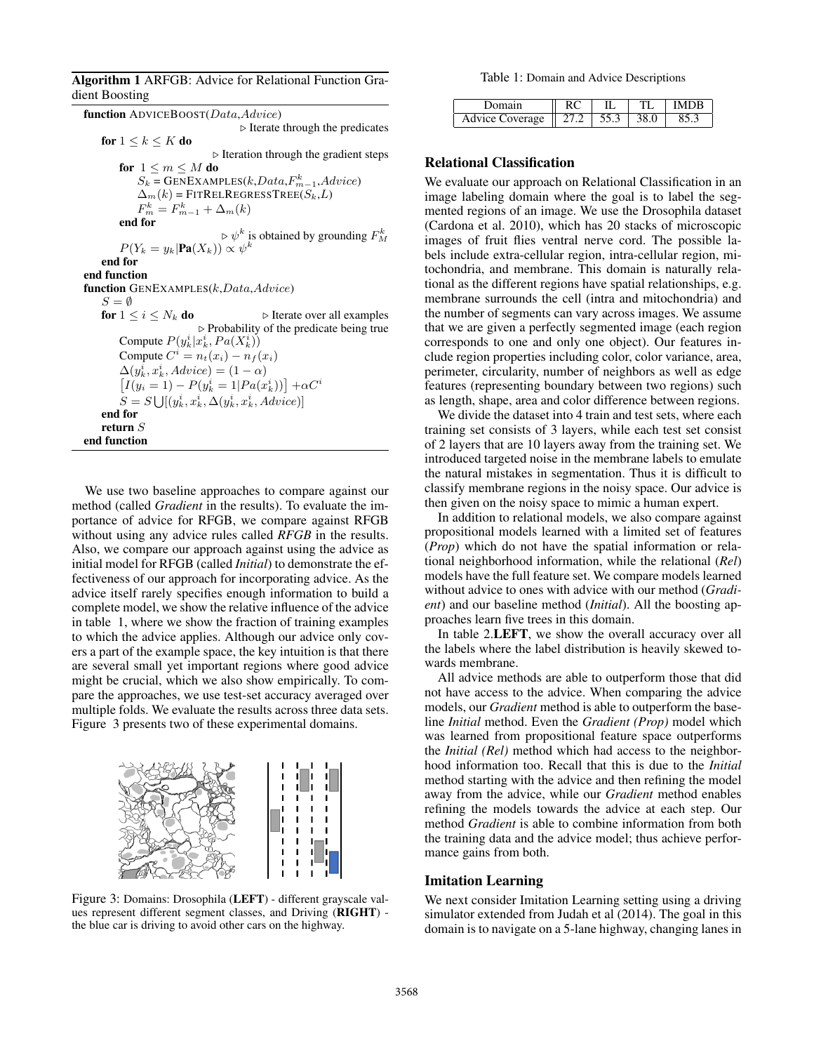Algorithm 1 ARFGB: Advice for Relational Function Gradient Boosting

function ADVICEBOOST(Data,Advice)  $\triangleright$  Iterate through the predicates for  $1 \leq k \leq K$  do  $\triangleright$  Iteration through the gradient steps for  $1 \leq m \leq M$  do  $S_k$  = GENEXAMPLES( $k, Data, F^k_{m-1}, Advice)$  $\Delta_m(k)$  = FITRELREGRESSTREE( $S_k, L$ )  $F_m^k = F_{m-1}^k + \Delta_m(k)$ end for  $\triangleright \psi^k$  is obtained by grounding  $F_M^k$  $P(Y_k = y_k | \mathbf{Pa}(X_k)) \propto \psi^k$ end for end function function GENEXAMPLES(k,Data,Advice)  $S=\emptyset$ for  $1 \leq i \leq N_k$  do  $\qquad \qquad \triangleright$  Iterate over all examples  $\triangleright$  Probability of the predicate being true Compute  $P(y_k^i|x_k^i, Pa(X_k^i))$ Compute  $C^i = n_t(x_i) - n_f(x_i)$  $\Delta(y_k^i, x_k^i, Advice) = (1 - \alpha)$  $[I(y_i = 1) - P(y_k^i = 1 | Pa(x_k^i))] + \alpha C^i$  $S = S \bigcup [(y_k^i, x_k^i, \Delta(y_k^i, x_k^i, Advice)]$ end for return S end function

We use two baseline approaches to compare against our method (called *Gradient* in the results). To evaluate the importance of advice for RFGB, we compare against RFGB without using any advice rules called *RFGB* in the results. Also, we compare our approach against using the advice as initial model for RFGB (called *Initial*) to demonstrate the effectiveness of our approach for incorporating advice. As the advice itself rarely specifies enough information to build a complete model, we show the relative influence of the advice in table 1, where we show the fraction of training examples to which the advice applies. Although our advice only covers a part of the example space, the key intuition is that there are several small yet important regions where good advice might be crucial, which we also show empirically. To compare the approaches, we use test-set accuracy averaged over multiple folds. We evaluate the results across three data sets. Figure 3 presents two of these experimental domains.



Figure 3: Domains: Drosophila (LEFT) - different grayscale values represent different segment classes, and Driving (RIGHT) the blue car is driving to avoid other cars on the highway.

Table 1: Domain and Advice Descriptions

| Domain                                                        |  |      | <b>IMDR</b> |
|---------------------------------------------------------------|--|------|-------------|
| Advice Coverage $\parallel$ 27.2 $\parallel$ 55.3 $\parallel$ |  | 38.0 |             |

## Relational Classification

We evaluate our approach on Relational Classification in an image labeling domain where the goal is to label the segmented regions of an image. We use the Drosophila dataset (Cardona et al. 2010), which has 20 stacks of microscopic images of fruit flies ventral nerve cord. The possible labels include extra-cellular region, intra-cellular region, mitochondria, and membrane. This domain is naturally relational as the different regions have spatial relationships, e.g. membrane surrounds the cell (intra and mitochondria) and the number of segments can vary across images. We assume that we are given a perfectly segmented image (each region corresponds to one and only one object). Our features include region properties including color, color variance, area, perimeter, circularity, number of neighbors as well as edge features (representing boundary between two regions) such as length, shape, area and color difference between regions.

We divide the dataset into 4 train and test sets, where each training set consists of 3 layers, while each test set consist of 2 layers that are 10 layers away from the training set. We introduced targeted noise in the membrane labels to emulate the natural mistakes in segmentation. Thus it is difficult to classify membrane regions in the noisy space. Our advice is then given on the noisy space to mimic a human expert.

In addition to relational models, we also compare against propositional models learned with a limited set of features (*Prop*) which do not have the spatial information or relational neighborhood information, while the relational (*Rel*) models have the full feature set. We compare models learned without advice to ones with advice with our method (*Gradient*) and our baseline method (*Initial*). All the boosting approaches learn five trees in this domain.

In table 2.LEFT, we show the overall accuracy over all the labels where the label distribution is heavily skewed towards membrane.

All advice methods are able to outperform those that did not have access to the advice. When comparing the advice models, our *Gradient* method is able to outperform the baseline *Initial* method. Even the *Gradient (Prop)* model which was learned from propositional feature space outperforms the *Initial (Rel)* method which had access to the neighborhood information too. Recall that this is due to the *Initial* method starting with the advice and then refining the model away from the advice, while our *Gradient* method enables refining the models towards the advice at each step. Our method *Gradient* is able to combine information from both the training data and the advice model; thus achieve performance gains from both.

#### Imitation Learning

We next consider Imitation Learning setting using a driving simulator extended from Judah et al (2014). The goal in this domain is to navigate on a 5-lane highway, changing lanes in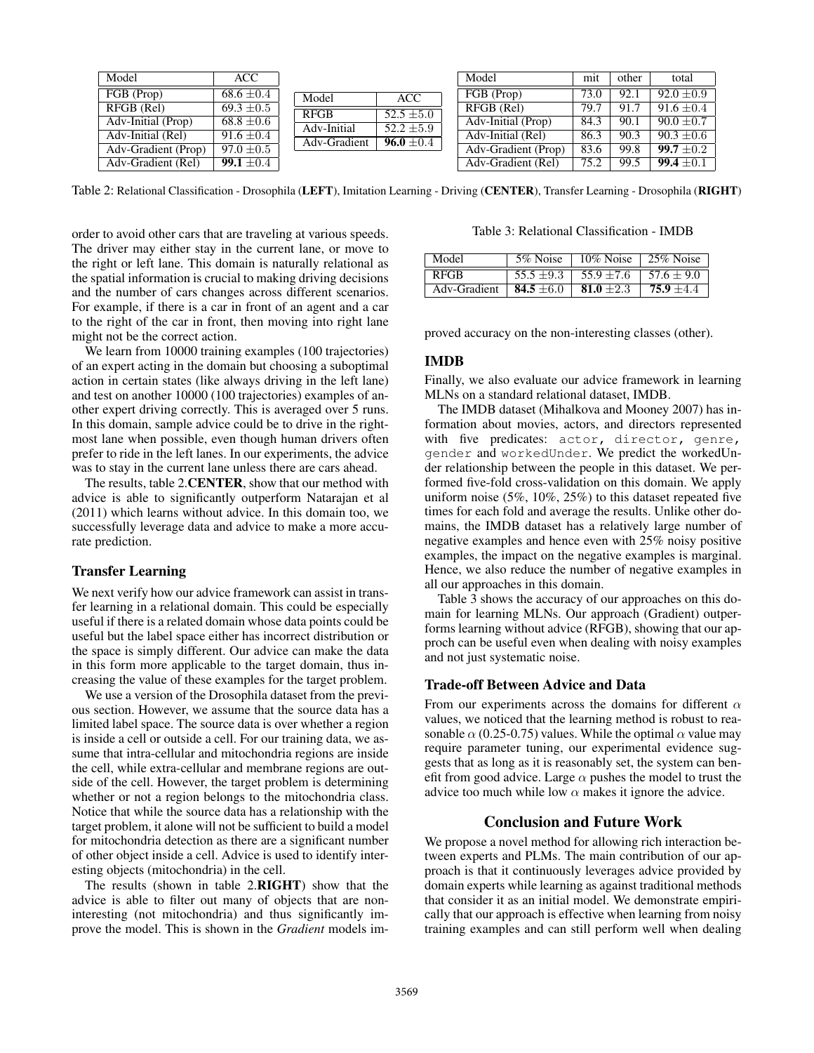| Model               | ACC.           |              |                | Model               | mit  | other | total          |
|---------------------|----------------|--------------|----------------|---------------------|------|-------|----------------|
| FGB (Prop)          | 68.6 $\pm 0.4$ | Model        | ACC.           | FGB (Prop)          | 73.0 | 92.1  | $92.0 \pm 0.9$ |
| RFGB (Rel)          | $69.3 \pm 0.5$ | <b>RFGB</b>  | $52.5 \pm 5.0$ | RFGB (Rel)          | 79.7 | 91.7  | $91.6 \pm 0.4$ |
| Adv-Initial (Prop)  | $68.8 \pm 0.6$ | Adv-Initial  | $52.2 + 5.9$   | Adv-Initial (Prop)  | 84.3 | 90.1  | $90.0 \pm 0.7$ |
| Adv-Initial (Rel)   | $91.6 \pm 0.4$ | Adv-Gradient | $96.0 \pm 0.4$ | Adv-Initial (Rel)   | 86.3 | 90.3  | $90.3 \pm 0.6$ |
| Adv-Gradient (Prop) | $97.0 \pm 0.5$ |              |                | Adv-Gradient (Prop) | 83.6 | 99.8  | 99.7 $\pm 0.2$ |
| Adv-Gradient (Rel)  | 99.1 $\pm 0.4$ |              |                | Adv-Gradient (Rel)  | 75.2 | 99.5  | 99.4 $\pm 0.1$ |

Table 2: Relational Classification - Drosophila (LEFT), Imitation Learning - Driving (CENTER), Transfer Learning - Drosophila (RIGHT)

order to avoid other cars that are traveling at various speeds. The driver may either stay in the current lane, or move to the right or left lane. This domain is naturally relational as the spatial information is crucial to making driving decisions and the number of cars changes across different scenarios. For example, if there is a car in front of an agent and a car to the right of the car in front, then moving into right lane might not be the correct action.

We learn from 10000 training examples (100 trajectories) of an expert acting in the domain but choosing a suboptimal action in certain states (like always driving in the left lane) and test on another 10000 (100 trajectories) examples of another expert driving correctly. This is averaged over 5 runs. In this domain, sample advice could be to drive in the rightmost lane when possible, even though human drivers often prefer to ride in the left lanes. In our experiments, the advice was to stay in the current lane unless there are cars ahead.

The results, table 2.CENTER, show that our method with advice is able to significantly outperform Natarajan et al (2011) which learns without advice. In this domain too, we successfully leverage data and advice to make a more accurate prediction.

## Transfer Learning

We next verify how our advice framework can assist in transfer learning in a relational domain. This could be especially useful if there is a related domain whose data points could be useful but the label space either has incorrect distribution or the space is simply different. Our advice can make the data in this form more applicable to the target domain, thus increasing the value of these examples for the target problem.

We use a version of the Drosophila dataset from the previous section. However, we assume that the source data has a limited label space. The source data is over whether a region is inside a cell or outside a cell. For our training data, we assume that intra-cellular and mitochondria regions are inside the cell, while extra-cellular and membrane regions are outside of the cell. However, the target problem is determining whether or not a region belongs to the mitochondria class. Notice that while the source data has a relationship with the target problem, it alone will not be sufficient to build a model for mitochondria detection as there are a significant number of other object inside a cell. Advice is used to identify interesting objects (mitochondria) in the cell.

The results (shown in table 2.RIGHT) show that the advice is able to filter out many of objects that are noninteresting (not mitochondria) and thus significantly improve the model. This is shown in the *Gradient* models im-

Table 3: Relational Classification - IMDB

| Model        | 5% Noise       | 10% Noise    | $\pm 25\%$ Noise |
|--------------|----------------|--------------|------------------|
| <b>RFGB</b>  | $55.5 + 9.3$   | $55.9 + 7.6$ | $57.6 + 9.0$     |
| Adv-Gradient | 84.5 $\pm 6.0$ | $81.0 + 2.3$ | $75.9 + 4.4$     |

proved accuracy on the non-interesting classes (other).

## IMDB

Finally, we also evaluate our advice framework in learning MLNs on a standard relational dataset, IMDB.

The IMDB dataset (Mihalkova and Mooney 2007) has information about movies, actors, and directors represented with five predicates: actor, director, genre, gender and workedUnder. We predict the workedUnder relationship between the people in this dataset. We performed five-fold cross-validation on this domain. We apply uniform noise (5%, 10%, 25%) to this dataset repeated five times for each fold and average the results. Unlike other domains, the IMDB dataset has a relatively large number of negative examples and hence even with 25% noisy positive examples, the impact on the negative examples is marginal. Hence, we also reduce the number of negative examples in all our approaches in this domain.

Table 3 shows the accuracy of our approaches on this domain for learning MLNs. Our approach (Gradient) outperforms learning without advice (RFGB), showing that our approch can be useful even when dealing with noisy examples and not just systematic noise.

## Trade-off Between Advice and Data

From our experiments across the domains for different  $\alpha$ values, we noticed that the learning method is robust to reasonable  $\alpha$  (0.25-0.75) values. While the optimal  $\alpha$  value may require parameter tuning, our experimental evidence suggests that as long as it is reasonably set, the system can benefit from good advice. Large  $\alpha$  pushes the model to trust the advice too much while low  $\alpha$  makes it ignore the advice.

## Conclusion and Future Work

We propose a novel method for allowing rich interaction between experts and PLMs. The main contribution of our approach is that it continuously leverages advice provided by domain experts while learning as against traditional methods that consider it as an initial model. We demonstrate empirically that our approach is effective when learning from noisy training examples and can still perform well when dealing